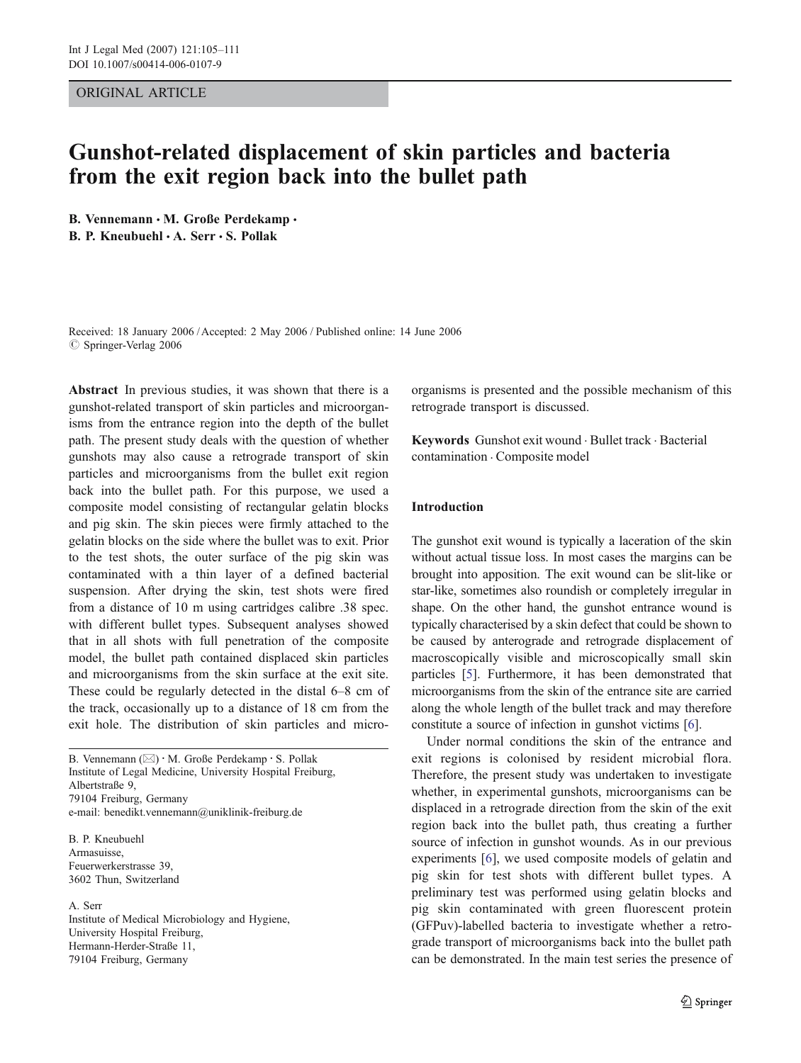## ORIGINAL ARTICLE

# Gunshot-related displacement of skin particles and bacteria from the exit region back into the bullet path

B. Vennemann · M. Große Perdekamp · B. P. Kneubuehl · A. Serr · S. Pollak

Received: 18 January 2006 /Accepted: 2 May 2006 / Published online: 14 June 2006  $\oslash$  Springer-Verlag 2006

Abstract In previous studies, it was shown that there is a gunshot-related transport of skin particles and microorganisms from the entrance region into the depth of the bullet path. The present study deals with the question of whether gunshots may also cause a retrograde transport of skin particles and microorganisms from the bullet exit region back into the bullet path. For this purpose, we used a composite model consisting of rectangular gelatin blocks and pig skin. The skin pieces were firmly attached to the gelatin blocks on the side where the bullet was to exit. Prior to the test shots, the outer surface of the pig skin was contaminated with a thin layer of a defined bacterial suspension. After drying the skin, test shots were fired from a distance of 10 m using cartridges calibre .38 spec. with different bullet types. Subsequent analyses showed that in all shots with full penetration of the composite model, the bullet path contained displaced skin particles and microorganisms from the skin surface at the exit site. These could be regularly detected in the distal 6–8 cm of the track, occasionally up to a distance of 18 cm from the exit hole. The distribution of skin particles and micro-

B. Vennemann  $(\boxtimes) \cdot M$ . Große Perdekamp $\cdot S$ . Pollak Institute of Legal Medicine, University Hospital Freiburg, Albertstraße 9, 79104 Freiburg, Germany e-mail: benedikt.vennemann@uniklinik-freiburg.de

B. P. Kneubuehl Armasuisse, Feuerwerkerstrasse 39, 3602 Thun, Switzerland

## A. Serr

Institute of Medical Microbiology and Hygiene, University Hospital Freiburg, Hermann-Herder-Straße 11, 79104 Freiburg, Germany

organisms is presented and the possible mechanism of this retrograde transport is discussed.

Keywords Gunshot exit wound . Bullet track . Bacterial contamination . Composite model

# Introduction

The gunshot exit wound is typically a laceration of the skin without actual tissue loss. In most cases the margins can be brought into apposition. The exit wound can be slit-like or star-like, sometimes also roundish or completely irregular in shape. On the other hand, the gunshot entrance wound is typically characterised by a skin defect that could be shown to be caused by anterograde and retrograde displacement of macroscopically visible and microscopically small skin particles [[5\]](#page-5-0). Furthermore, it has been demonstrated that microorganisms from the skin of the entrance site are carried along the whole length of the bullet track and may therefore constitute a source of infection in gunshot victims [[6\]](#page-5-0).

Under normal conditions the skin of the entrance and exit regions is colonised by resident microbial flora. Therefore, the present study was undertaken to investigate whether, in experimental gunshots, microorganisms can be displaced in a retrograde direction from the skin of the exit region back into the bullet path, thus creating a further source of infection in gunshot wounds. As in our previous experiments [\[6](#page-5-0)], we used composite models of gelatin and pig skin for test shots with different bullet types. A preliminary test was performed using gelatin blocks and pig skin contaminated with green fluorescent protein (GFPuv)-labelled bacteria to investigate whether a retrograde transport of microorganisms back into the bullet path can be demonstrated. In the main test series the presence of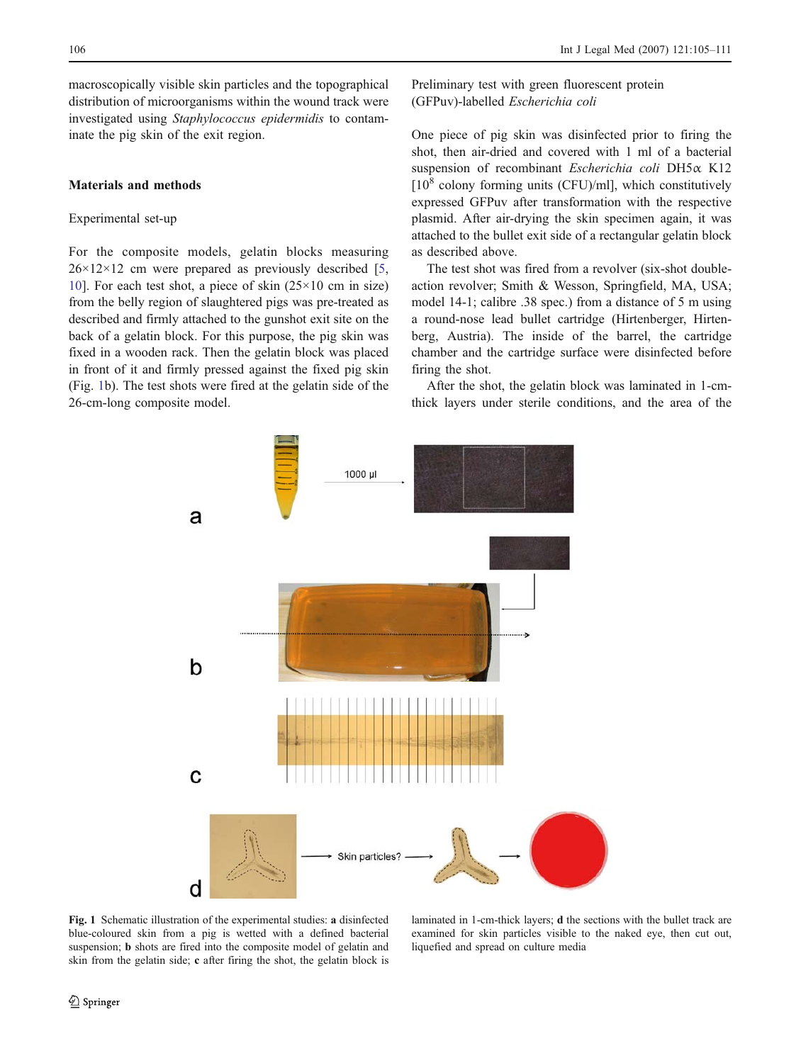<span id="page-1-0"></span>macroscopically visible skin particles and the topographical distribution of microorganisms within the wound track were investigated using Staphylococcus epidermidis to contaminate the pig skin of the exit region.

# Materials and methods

# Experimental set-up

For the composite models, gelatin blocks measuring  $26 \times 12 \times 12$  cm were prepared as previously described [[5,](#page-5-0) [10](#page-6-0)]. For each test shot, a piece of skin (25×10 cm in size) from the belly region of slaughtered pigs was pre-treated as described and firmly attached to the gunshot exit site on the back of a gelatin block. For this purpose, the pig skin was fixed in a wooden rack. Then the gelatin block was placed in front of it and firmly pressed against the fixed pig skin (Fig. 1b). The test shots were fired at the gelatin side of the 26-cm-long composite model.

Preliminary test with green fluorescent protein (GFPuv)-labelled Escherichia coli

One piece of pig skin was disinfected prior to firing the shot, then air-dried and covered with 1 ml of a bacterial suspension of recombinant Escherichia coli DH5α K12  $[10^8$  colony forming units (CFU)/ml], which constitutively expressed GFPuv after transformation with the respective plasmid. After air-drying the skin specimen again, it was attached to the bullet exit side of a rectangular gelatin block as described above.

The test shot was fired from a revolver (six-shot doubleaction revolver; Smith & Wesson, Springfield, MA, USA; model 14-1; calibre .38 spec.) from a distance of 5 m using a round-nose lead bullet cartridge (Hirtenberger, Hirtenberg, Austria). The inside of the barrel, the cartridge chamber and the cartridge surface were disinfected before firing the shot.

After the shot, the gelatin block was laminated in 1-cmthick layers under sterile conditions, and the area of the



Fig. 1 Schematic illustration of the experimental studies: a disinfected blue-coloured skin from a pig is wetted with a defined bacterial suspension; b shots are fired into the composite model of gelatin and skin from the gelatin side; c after firing the shot, the gelatin block is

laminated in 1-cm-thick layers; d the sections with the bullet track are examined for skin particles visible to the naked eye, then cut out, liquefied and spread on culture media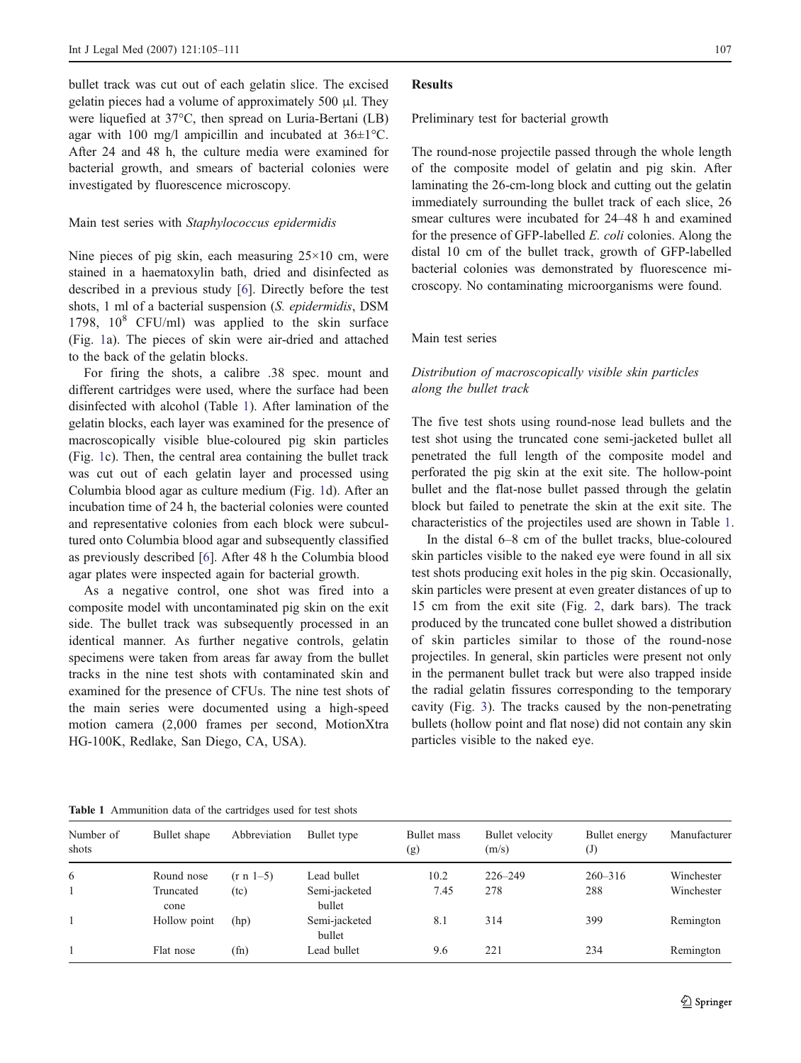bullet track was cut out of each gelatin slice. The excised gelatin pieces had a volume of approximately 500 μl. They were liquefied at 37°C, then spread on Luria-Bertani (LB) agar with 100 mg/l ampicillin and incubated at  $36\pm1^{\circ}$ C. After 24 and 48 h, the culture media were examined for bacterial growth, and smears of bacterial colonies were investigated by fluorescence microscopy.

### Main test series with Staphylococcus epidermidis

Nine pieces of pig skin, each measuring  $25 \times 10$  cm, were stained in a haematoxylin bath, dried and disinfected as described in a previous study [[6\]](#page-5-0). Directly before the test shots, 1 ml of a bacterial suspension (S. epidermidis, DSM 1798,  $10^8$  CFU/ml) was applied to the skin surface (Fig. [1](#page-1-0)a). The pieces of skin were air-dried and attached to the back of the gelatin blocks.

For firing the shots, a calibre .38 spec. mount and different cartridges were used, where the surface had been disinfected with alcohol (Table 1). After lamination of the gelatin blocks, each layer was examined for the presence of macroscopically visible blue-coloured pig skin particles (Fig. [1](#page-1-0)c). Then, the central area containing the bullet track was cut out of each gelatin layer and processed using Columbia blood agar as culture medium (Fig. [1](#page-1-0)d). After an incubation time of 24 h, the bacterial colonies were counted and representative colonies from each block were subcultured onto Columbia blood agar and subsequently classified as previously described [\[6](#page-5-0)]. After 48 h the Columbia blood agar plates were inspected again for bacterial growth.

As a negative control, one shot was fired into a composite model with uncontaminated pig skin on the exit side. The bullet track was subsequently processed in an identical manner. As further negative controls, gelatin specimens were taken from areas far away from the bullet tracks in the nine test shots with contaminated skin and examined for the presence of CFUs. The nine test shots of the main series were documented using a high-speed motion camera (2,000 frames per second, MotionXtra HG-100K, Redlake, San Diego, CA, USA).

#### Results

Preliminary test for bacterial growth

The round-nose projectile passed through the whole length of the composite model of gelatin and pig skin. After laminating the 26-cm-long block and cutting out the gelatin immediately surrounding the bullet track of each slice, 26 smear cultures were incubated for 24–48 h and examined for the presence of GFP-labelled E. coli colonies. Along the distal 10 cm of the bullet track, growth of GFP-labelled bacterial colonies was demonstrated by fluorescence microscopy. No contaminating microorganisms were found.

## Main test series

# Distribution of macroscopically visible skin particles along the bullet track

The five test shots using round-nose lead bullets and the test shot using the truncated cone semi-jacketed bullet all penetrated the full length of the composite model and perforated the pig skin at the exit site. The hollow-point bullet and the flat-nose bullet passed through the gelatin block but failed to penetrate the skin at the exit site. The characteristics of the projectiles used are shown in Table 1.

In the distal 6–8 cm of the bullet tracks, blue-coloured skin particles visible to the naked eye were found in all six test shots producing exit holes in the pig skin. Occasionally, skin particles were present at even greater distances of up to 15 cm from the exit site (Fig. [2,](#page-3-0) dark bars). The track produced by the truncated cone bullet showed a distribution of skin particles similar to those of the round-nose projectiles. In general, skin particles were present not only in the permanent bullet track but were also trapped inside the radial gelatin fissures corresponding to the temporary cavity (Fig. [3\)](#page-3-0). The tracks caused by the non-penetrating bullets (hollow point and flat nose) did not contain any skin particles visible to the naked eye.

Table 1 Ammunition data of the cartridges used for test shots

| Number of<br>shots | Bullet shape      | Abbreviation  | Bullet type             | <b>Bullet</b> mass<br>(g) | Bullet velocity<br>(m/s) | Bullet energy<br>$\mathrm{J}$ | Manufacturer |
|--------------------|-------------------|---------------|-------------------------|---------------------------|--------------------------|-------------------------------|--------------|
| 6                  | Round nose        | $(r n 1-5)$   | Lead bullet             | 10.2                      | $226 - 249$              | $260 - 316$                   | Winchester   |
|                    | Truncated<br>cone | (tc)          | Semi-jacketed<br>bullet | 7.45                      | 278                      | 288                           | Winchester   |
|                    | Hollow point      | (hp)          | Semi-jacketed<br>bullet | 8.1                       | 314                      | 399                           | Remington    |
|                    | Flat nose         | $(\text{fn})$ | Lead bullet             | 9.6                       | 221                      | 234                           | Remington    |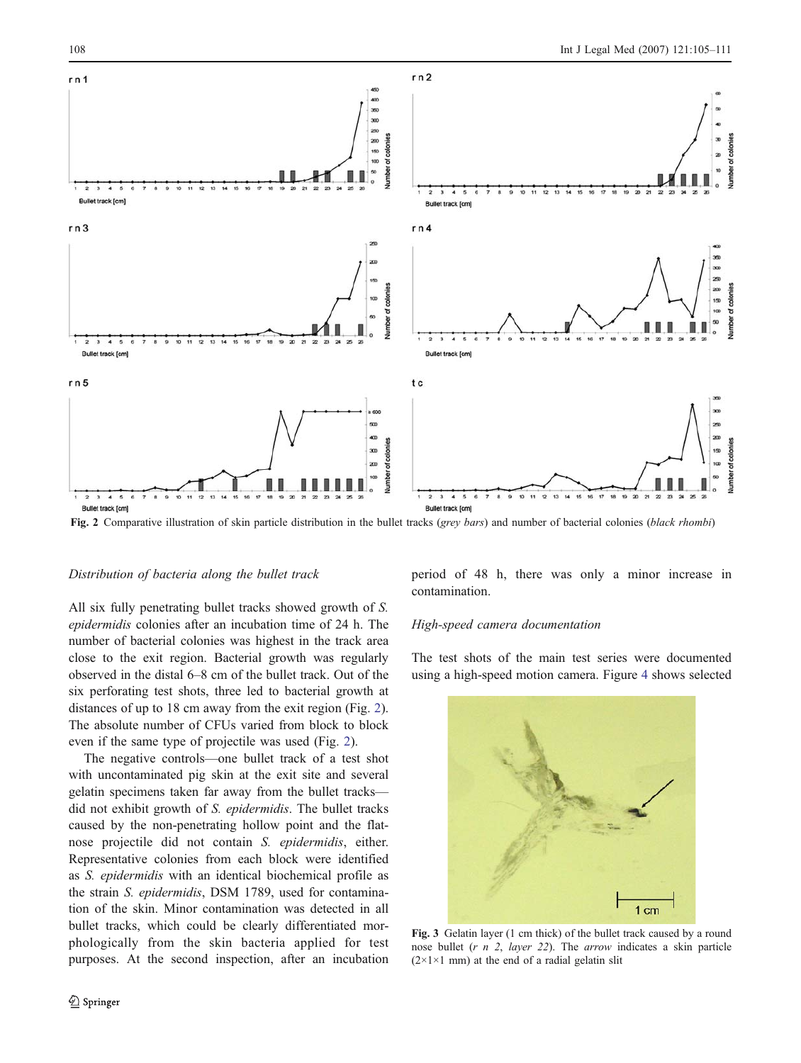<span id="page-3-0"></span>

Fig. 2 Comparative illustration of skin particle distribution in the bullet tracks (grey bars) and number of bacterial colonies (black rhombi)

## Distribution of bacteria along the bullet track

All six fully penetrating bullet tracks showed growth of S. epidermidis colonies after an incubation time of 24 h. The number of bacterial colonies was highest in the track area close to the exit region. Bacterial growth was regularly observed in the distal 6–8 cm of the bullet track. Out of the six perforating test shots, three led to bacterial growth at distances of up to 18 cm away from the exit region (Fig. 2). The absolute number of CFUs varied from block to block even if the same type of projectile was used (Fig. 2).

The negative controls—one bullet track of a test shot with uncontaminated pig skin at the exit site and several gelatin specimens taken far away from the bullet tracks did not exhibit growth of S. epidermidis. The bullet tracks caused by the non-penetrating hollow point and the flatnose projectile did not contain S. epidermidis, either. Representative colonies from each block were identified as S. epidermidis with an identical biochemical profile as the strain S. epidermidis, DSM 1789, used for contamination of the skin. Minor contamination was detected in all bullet tracks, which could be clearly differentiated morphologically from the skin bacteria applied for test purposes. At the second inspection, after an incubation

period of 48 h, there was only a minor increase in contamination.

## High-speed camera documentation

The test shots of the main test series were documented using a high-speed motion camera. Figure [4](#page-4-0) shows selected



Fig. 3 Gelatin layer (1 cm thick) of the bullet track caused by a round nose bullet  $(r, n, 2, layer, 22)$ . The *arrow* indicates a skin particle  $(2 \times 1 \times 1$  mm) at the end of a radial gelatin slit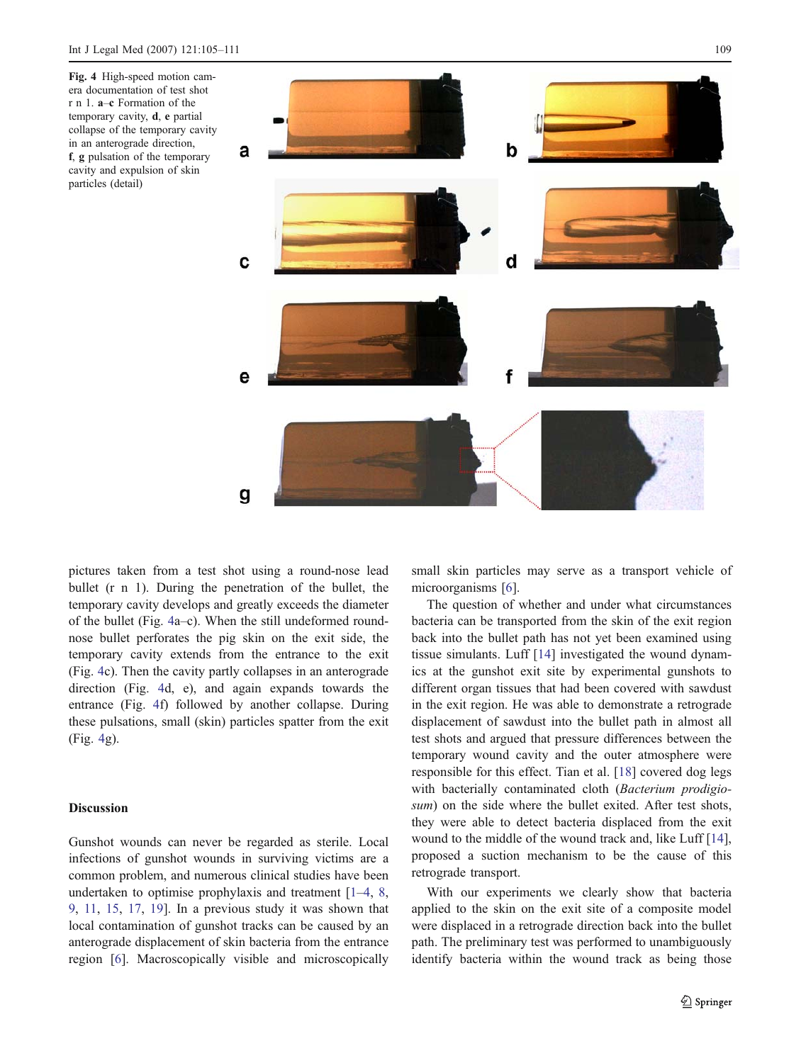<span id="page-4-0"></span>

pictures taken from a test shot using a round-nose lead bullet (r n 1). During the penetration of the bullet, the temporary cavity develops and greatly exceeds the diameter of the bullet (Fig. 4a–c). When the still undeformed roundnose bullet perforates the pig skin on the exit side, the temporary cavity extends from the entrance to the exit (Fig. 4c). Then the cavity partly collapses in an anterograde direction (Fig. 4d, e), and again expands towards the entrance (Fig. 4f) followed by another collapse. During these pulsations, small (skin) particles spatter from the exit (Fig. 4g).

## **Discussion**

Gunshot wounds can never be regarded as sterile. Local infections of gunshot wounds in surviving victims are a common problem, and numerous clinical studies have been undertaken to optimise prophylaxis and treatment [\[1](#page-5-0)–[4](#page-5-0), [8,](#page-5-0) [9](#page-5-0), [11](#page-6-0), [15,](#page-6-0) [17](#page-6-0), [19\]](#page-6-0). In a previous study it was shown that local contamination of gunshot tracks can be caused by an anterograde displacement of skin bacteria from the entrance region [\[6](#page-5-0)]. Macroscopically visible and microscopically small skin particles may serve as a transport vehicle of microorganisms [\[6](#page-5-0)].

The question of whether and under what circumstances bacteria can be transported from the skin of the exit region back into the bullet path has not yet been examined using tissue simulants. Luff [[14\]](#page-6-0) investigated the wound dynamics at the gunshot exit site by experimental gunshots to different organ tissues that had been covered with sawdust in the exit region. He was able to demonstrate a retrograde displacement of sawdust into the bullet path in almost all test shots and argued that pressure differences between the temporary wound cavity and the outer atmosphere were responsible for this effect. Tian et al. [[18\]](#page-6-0) covered dog legs with bacterially contaminated cloth (Bacterium prodigiosum) on the side where the bullet exited. After test shots, they were able to detect bacteria displaced from the exit wound to the middle of the wound track and, like Luff [[14\]](#page-6-0), proposed a suction mechanism to be the cause of this retrograde transport.

With our experiments we clearly show that bacteria applied to the skin on the exit site of a composite model were displaced in a retrograde direction back into the bullet path. The preliminary test was performed to unambiguously identify bacteria within the wound track as being those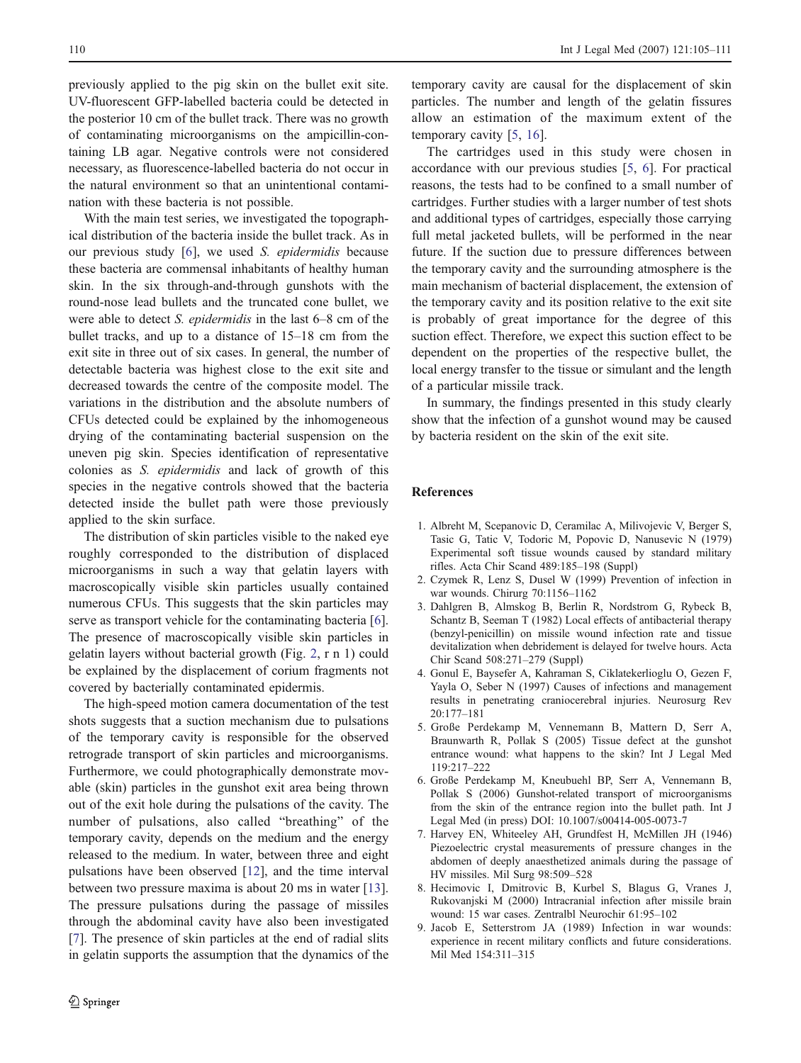<span id="page-5-0"></span>previously applied to the pig skin on the bullet exit site. UV-fluorescent GFP-labelled bacteria could be detected in the posterior 10 cm of the bullet track. There was no growth of contaminating microorganisms on the ampicillin-containing LB agar. Negative controls were not considered necessary, as fluorescence-labelled bacteria do not occur in the natural environment so that an unintentional contamination with these bacteria is not possible.

With the main test series, we investigated the topographical distribution of the bacteria inside the bullet track. As in our previous study [6], we used S. epidermidis because these bacteria are commensal inhabitants of healthy human skin. In the six through-and-through gunshots with the round-nose lead bullets and the truncated cone bullet, we were able to detect S. epidermidis in the last 6–8 cm of the bullet tracks, and up to a distance of 15–18 cm from the exit site in three out of six cases. In general, the number of detectable bacteria was highest close to the exit site and decreased towards the centre of the composite model. The variations in the distribution and the absolute numbers of CFUs detected could be explained by the inhomogeneous drying of the contaminating bacterial suspension on the uneven pig skin. Species identification of representative colonies as S. epidermidis and lack of growth of this species in the negative controls showed that the bacteria detected inside the bullet path were those previously applied to the skin surface.

The distribution of skin particles visible to the naked eye roughly corresponded to the distribution of displaced microorganisms in such a way that gelatin layers with macroscopically visible skin particles usually contained numerous CFUs. This suggests that the skin particles may serve as transport vehicle for the contaminating bacteria [6]. The presence of macroscopically visible skin particles in gelatin layers without bacterial growth (Fig. [2,](#page-3-0) r n 1) could be explained by the displacement of corium fragments not covered by bacterially contaminated epidermis.

The high-speed motion camera documentation of the test shots suggests that a suction mechanism due to pulsations of the temporary cavity is responsible for the observed retrograde transport of skin particles and microorganisms. Furthermore, we could photographically demonstrate movable (skin) particles in the gunshot exit area being thrown out of the exit hole during the pulsations of the cavity. The number of pulsations, also called "breathing" of the temporary cavity, depends on the medium and the energy released to the medium. In water, between three and eight pulsations have been observed [[12\]](#page-6-0), and the time interval between two pressure maxima is about 20 ms in water [\[13](#page-6-0)]. The pressure pulsations during the passage of missiles through the abdominal cavity have also been investigated [7]. The presence of skin particles at the end of radial slits in gelatin supports the assumption that the dynamics of the

temporary cavity are causal for the displacement of skin particles. The number and length of the gelatin fissures allow an estimation of the maximum extent of the temporary cavity [5, [16](#page-6-0)].

The cartridges used in this study were chosen in accordance with our previous studies [5, 6]. For practical reasons, the tests had to be confined to a small number of cartridges. Further studies with a larger number of test shots and additional types of cartridges, especially those carrying full metal jacketed bullets, will be performed in the near future. If the suction due to pressure differences between the temporary cavity and the surrounding atmosphere is the main mechanism of bacterial displacement, the extension of the temporary cavity and its position relative to the exit site is probably of great importance for the degree of this suction effect. Therefore, we expect this suction effect to be dependent on the properties of the respective bullet, the local energy transfer to the tissue or simulant and the length of a particular missile track.

In summary, the findings presented in this study clearly show that the infection of a gunshot wound may be caused by bacteria resident on the skin of the exit site.

# References

- 1. Albreht M, Scepanovic D, Ceramilac A, Milivojevic V, Berger S, Tasic G, Tatic V, Todoric M, Popovic D, Nanusevic N (1979) Experimental soft tissue wounds caused by standard military rifles. Acta Chir Scand 489:185–198 (Suppl)
- 2. Czymek R, Lenz S, Dusel W (1999) Prevention of infection in war wounds. Chirurg 70:1156–1162
- 3. Dahlgren B, Almskog B, Berlin R, Nordstrom G, Rybeck B, Schantz B, Seeman T (1982) Local effects of antibacterial therapy (benzyl-penicillin) on missile wound infection rate and tissue devitalization when debridement is delayed for twelve hours. Acta Chir Scand 508:271–279 (Suppl)
- 4. Gonul E, Baysefer A, Kahraman S, Ciklatekerlioglu O, Gezen F, Yayla O, Seber N (1997) Causes of infections and management results in penetrating craniocerebral injuries. Neurosurg Rev 20:177–181
- 5. Große Perdekamp M, Vennemann B, Mattern D, Serr A, Braunwarth R, Pollak S (2005) Tissue defect at the gunshot entrance wound: what happens to the skin? Int J Legal Med 119:217–222
- 6. Große Perdekamp M, Kneubuehl BP, Serr A, Vennemann B, Pollak S (2006) Gunshot-related transport of microorganisms from the skin of the entrance region into the bullet path. Int J Legal Med (in press) DOI: 10.1007/s00414-005-0073-7
- 7. Harvey EN, Whiteeley AH, Grundfest H, McMillen JH (1946) Piezoelectric crystal measurements of pressure changes in the abdomen of deeply anaesthetized animals during the passage of HV missiles. Mil Surg 98:509–528
- 8. Hecimovic I, Dmitrovic B, Kurbel S, Blagus G, Vranes J, Rukovanjski M (2000) Intracranial infection after missile brain wound: 15 war cases. Zentralbl Neurochir 61:95–102
- 9. Jacob E, Setterstrom JA (1989) Infection in war wounds: experience in recent military conflicts and future considerations. Mil Med 154:311–315